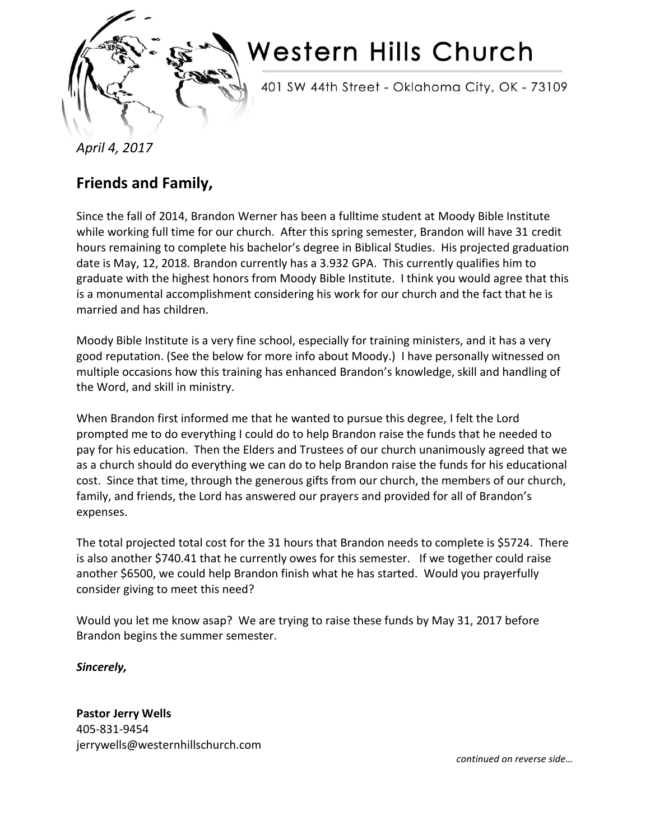

## Western Hills Church

401 SW 44th Street - Oklahoma City, OK - 73109

*April 4, 2017*

## **Friends and Family,**

Since the fall of 2014, Brandon Werner has been a fulltime student at Moody Bible Institute while working full time for our church. After this spring semester, Brandon will have 31 credit hours remaining to complete his bachelor's degree in Biblical Studies. His projected graduation date is May, 12, 2018. Brandon currently has a 3.932 GPA. This currently qualifies him to graduate with the highest honors from Moody Bible Institute. I think you would agree that this is a monumental accomplishment considering his work for our church and the fact that he is married and has children.

Moody Bible Institute is a very fine school, especially for training ministers, and it has a very good reputation. (See the below for more info about Moody.) I have personally witnessed on multiple occasions how this training has enhanced Brandon's knowledge, skill and handling of the Word, and skill in ministry.

When Brandon first informed me that he wanted to pursue this degree, I felt the Lord prompted me to do everything I could do to help Brandon raise the funds that he needed to pay for his education. Then the Elders and Trustees of our church unanimously agreed that we as a church should do everything we can do to help Brandon raise the funds for his educational cost. Since that time, through the generous gifts from our church, the members of our church, family, and friends, the Lord has answered our prayers and provided for all of Brandon's expenses.

The total projected total cost for the 31 hours that Brandon needs to complete is \$5724. There is also another \$740.41 that he currently owes for this semester. If we together could raise another \$6500, we could help Brandon finish what he has started. Would you prayerfully consider giving to meet this need?

Would you let me know asap? We are trying to raise these funds by May 31, 2017 before Brandon begins the summer semester.

*Sincerely,*

**Pastor Jerry Wells** 405-831-9454 jerrywells@westernhillschurch.com

*continued on reverse side…*